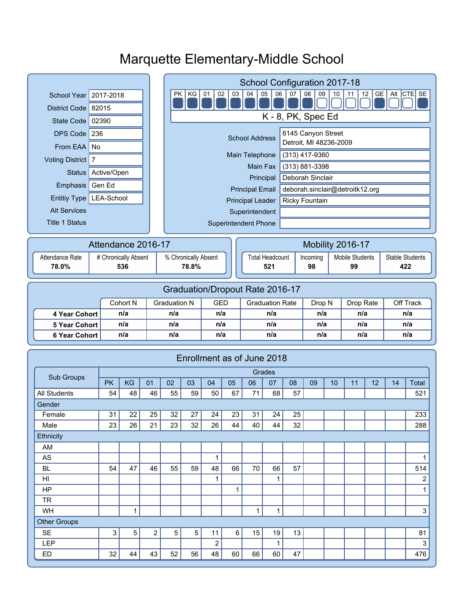# Marquette Elementary-Middle School

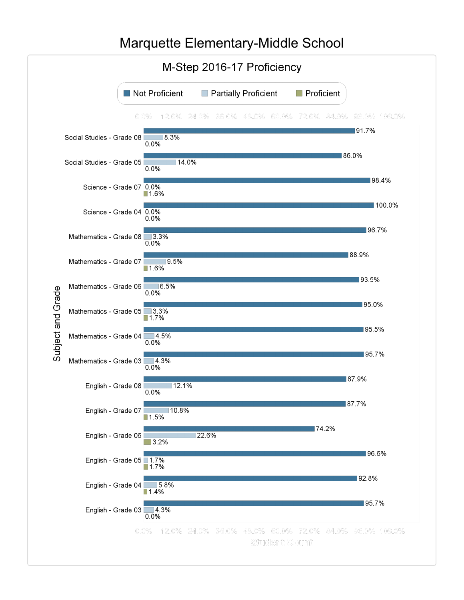#### M-Step 2016-17 Proficiency Not Proficient Partially Proficient  $\Box$  Proficient  $0.0\%$  12.0% 24.0% 36.0% 48.0% 60.0% 72.0% 84.0% 96.0% 108.0%  $191.7%$ Social Studies - Grade 08 38  $0.0%$ 86.0% Social Studies - Grade 05  $14.0%$  $0.0%$  $\blacksquare$  98.4% Science - Grade 07 0.0%  $\blacksquare$ 1.6% 100.0% Science - Grade 04 0.0%  $0.0%$ ■96.7% Mathematics - Grade 08 3.3%  $0.0%$ 88.9% Mathematics - Grade 07  $9.5%$  $1.6%$  $193.5%$ Mathematics - Grade 06  $|6.5%$ Subject and Grade  $0.0%$  $95.0\%$ Mathematics - Grade 05 3.3% ■1.7% ■95.5% Mathematics - Grade 04 4.5%  $0.0%$ 95.7% Mathematics - Grade 03 4.3%  $0.0%$ 87.9% English - Grade 08  $\blacksquare$  12.1%  $0.0%$ 87.7% English - Grade 07 10.8% 74.2% 22.6% English - Grade 06  $\blacksquare$  3.2% 96.6% English - Grade 05 1.7%<br>1.7% ■92.8% English - Grade 04 5.8% ■1.4% 95.7% English - Grade  $03$  4.3%  $0.0%$ 0.0% 12.0% 24.0% 36.0% 48.0% 60.0% 72.0% 84.0% 96.0% 108.0% Student Count

## Marquette Elementary-Middle School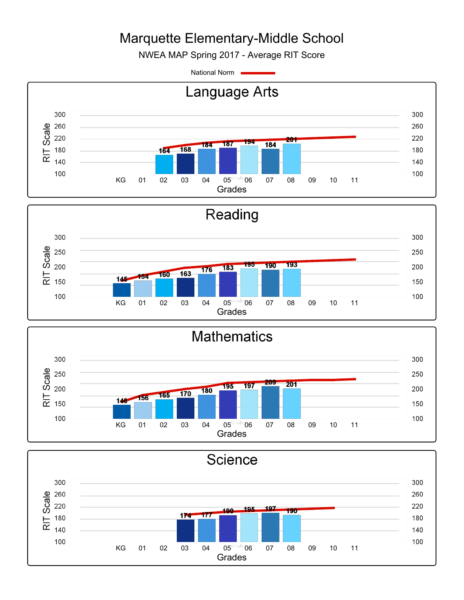# Marquette Elementary-Middle School

NWEA MAP Spring 2017 - Average RIT Score

National Norm